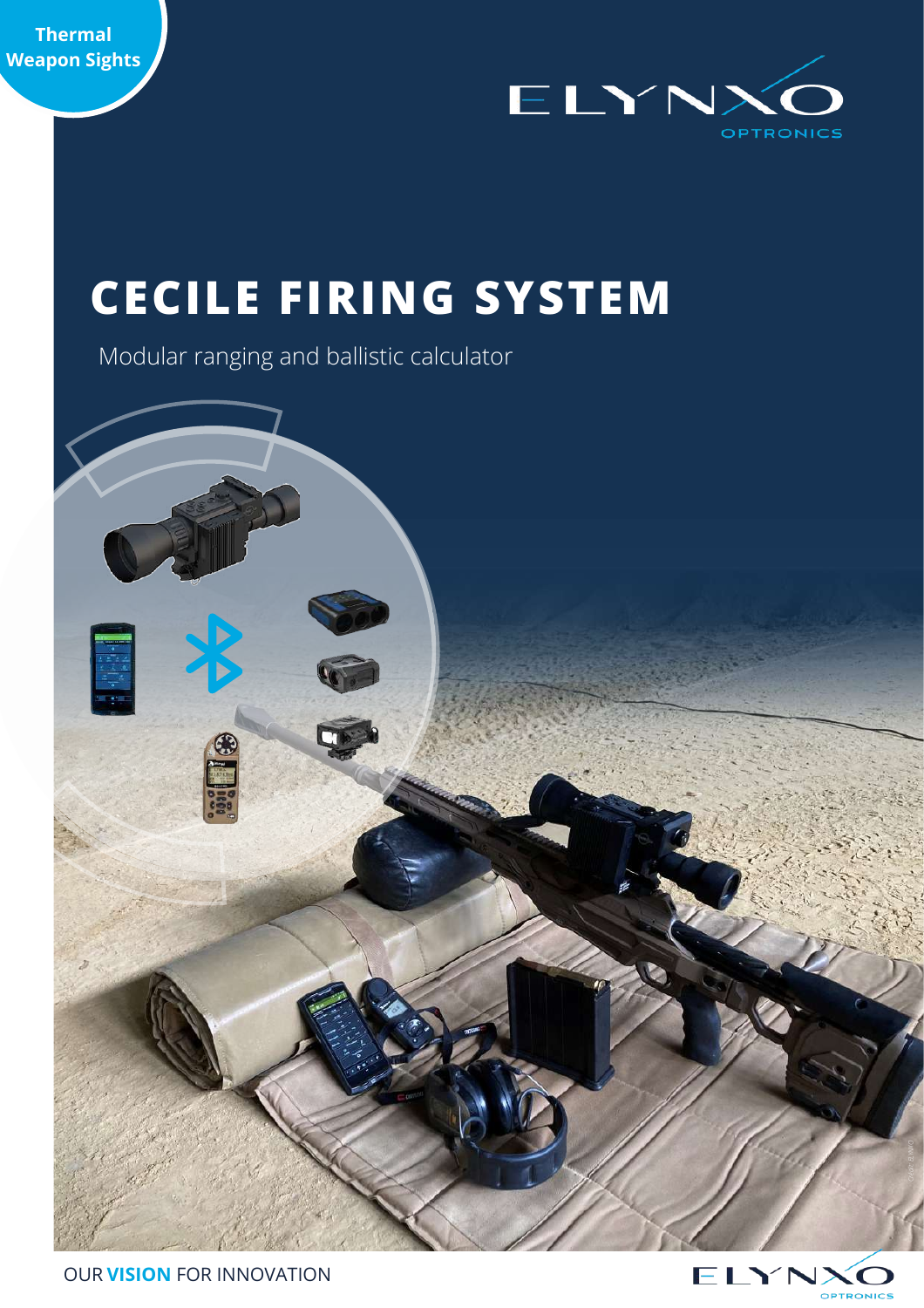



# **CECILE FIRING SYSTEM**

Modular ranging and ballistic calculator



*Crédit: ELYNXO*

OUR **VISION** FOR INNOVATION